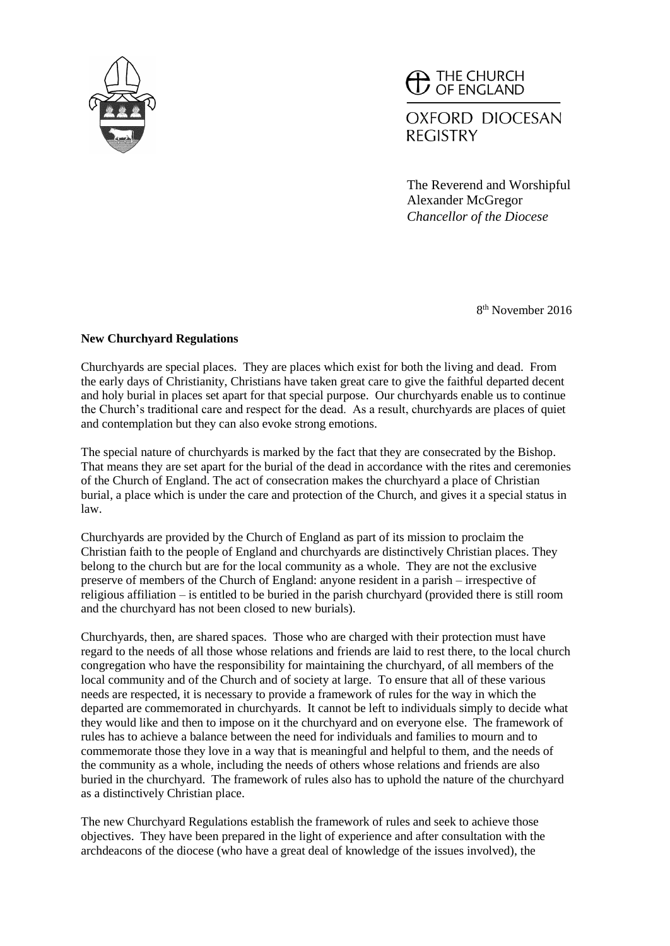

 $\blacktriangle$  THE CHURCH OF ENGLAND

**OXFORD DIOCESAN REGISTRY** 

The Reverend and Worshipful Alexander McGregor *Chancellor of the Diocese*

8 th November 2016

## **New Churchyard Regulations**

Churchyards are special places. They are places which exist for both the living and dead. From the early days of Christianity, Christians have taken great care to give the faithful departed decent and holy burial in places set apart for that special purpose. Our churchyards enable us to continue the Church's traditional care and respect for the dead. As a result, churchyards are places of quiet and contemplation but they can also evoke strong emotions.

The special nature of churchyards is marked by the fact that they are consecrated by the Bishop. That means they are set apart for the burial of the dead in accordance with the rites and ceremonies of the Church of England. The act of consecration makes the churchyard a place of Christian burial, a place which is under the care and protection of the Church, and gives it a special status in law.

Churchyards are provided by the Church of England as part of its mission to proclaim the Christian faith to the people of England and churchyards are distinctively Christian places. They belong to the church but are for the local community as a whole. They are not the exclusive preserve of members of the Church of England: anyone resident in a parish – irrespective of religious affiliation – is entitled to be buried in the parish churchyard (provided there is still room and the churchyard has not been closed to new burials).

Churchyards, then, are shared spaces. Those who are charged with their protection must have regard to the needs of all those whose relations and friends are laid to rest there, to the local church congregation who have the responsibility for maintaining the churchyard, of all members of the local community and of the Church and of society at large. To ensure that all of these various needs are respected, it is necessary to provide a framework of rules for the way in which the departed are commemorated in churchyards. It cannot be left to individuals simply to decide what they would like and then to impose on it the churchyard and on everyone else. The framework of rules has to achieve a balance between the need for individuals and families to mourn and to commemorate those they love in a way that is meaningful and helpful to them, and the needs of the community as a whole, including the needs of others whose relations and friends are also buried in the churchyard. The framework of rules also has to uphold the nature of the churchyard as a distinctively Christian place.

The new Churchyard Regulations establish the framework of rules and seek to achieve those objectives. They have been prepared in the light of experience and after consultation with the archdeacons of the diocese (who have a great deal of knowledge of the issues involved), the